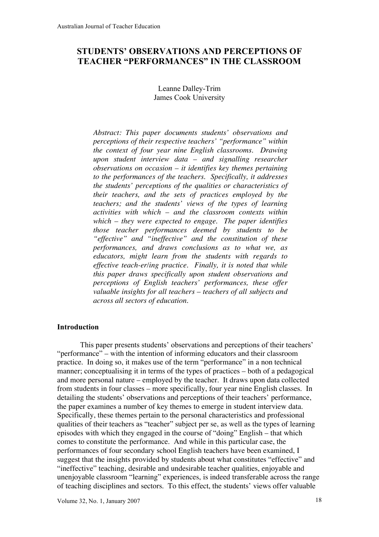# **STUDENTS' OBSERVATIONS AND PERCEPTIONS OF TEACHER "PERFORMANCES" IN THE CLASSROOM**

Leanne Dalley-Trim James Cook University

*Abstract: This paper documents students' observations and perceptions of their respective teachers' "performance" within the context of four year nine English classrooms. Drawing upon student interview data – and signalling researcher observations on occasion – it identifies key themes pertaining to the performances of the teachers. Specifically, it addresses the students' perceptions of the qualities or characteristics of their teachers, and the sets of practices employed by the teachers; and the students' views of the types of learning activities with which – and the classroom contexts within which – they were expected to engage. The paper identifies those teacher performances deemed by students to be "effective" and "ineffective" and the constitution of these performances, and draws conclusions as to what we, as educators, might learn from the students with regards to effective teach-er/ing practice. Finally, it is noted that while this paper draws specifically upon student observations and perceptions of English teachers' performances, these offer valuable insights for all teachers – teachers of all subjects and across all sectors of education.*

## **Introduction**

This paper presents students' observations and perceptions of their teachers' "performance" – with the intention of informing educators and their classroom practice. In doing so, it makes use of the term "performance" in a non technical manner; conceptualising it in terms of the types of practices – both of a pedagogical and more personal nature – employed by the teacher. It draws upon data collected from students in four classes – more specifically, four year nine English classes. In detailing the students' observations and perceptions of their teachers' performance, the paper examines a number of key themes to emerge in student interview data. Specifically, these themes pertain to the personal characteristics and professional qualities of their teachers as "teacher" subject per se, as well as the types of learning episodes with which they engaged in the course of "doing" English – that which comes to constitute the performance. And while in this particular case, the performances of four secondary school English teachers have been examined, I suggest that the insights provided by students about what constitutes "effective" and "ineffective" teaching, desirable and undesirable teacher qualities, enjoyable and unenjoyable classroom "learning" experiences, is indeed transferable across the range of teaching disciplines and sectors. To this effect, the students' views offer valuable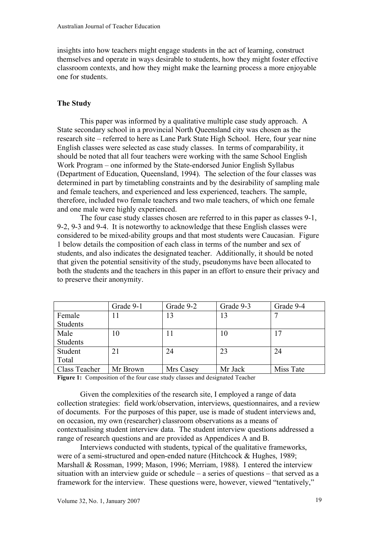insights into how teachers might engage students in the act of learning, construct themselves and operate in ways desirable to students, how they might foster effective classroom contexts, and how they might make the learning process a more enjoyable one for students.

### **The Study**

This paper was informed by a qualitative multiple case study approach. A State secondary school in a provincial North Queensland city was chosen as the research site – referred to here as Lane Park State High School. Here, four year nine English classes were selected as case study classes. In terms of comparability, it should be noted that all four teachers were working with the same School English Work Program – one informed by the State-endorsed Junior English Syllabus (Department of Education, Queensland, 1994). The selection of the four classes was determined in part by timetabling constraints and by the desirability of sampling male and female teachers, and experienced and less experienced, teachers. The sample, therefore, included two female teachers and two male teachers, of which one female and one male were highly experienced.

The four case study classes chosen are referred to in this paper as classes 9-1, 9-2, 9-3 and 9-4. It is noteworthy to acknowledge that these English classes were considered to be mixed-ability groups and that most students were Caucasian. Figure 1 below details the composition of each class in terms of the number and sex of students, and also indicates the designated teacher. Additionally, it should be noted that given the potential sensitivity of the study, pseudonyms have been allocated to both the students and the teachers in this paper in an effort to ensure their privacy and to preserve their anonymity.

|               | Grade 9-1 | Grade 9-2 | Grade 9-3 | Grade 9-4 |
|---------------|-----------|-----------|-----------|-----------|
| Female        |           | 13        | 13        |           |
| Students      |           |           |           |           |
| Male          | 10        | 11        | 10        | 17        |
| Students      |           |           |           |           |
| Student       | 21        | 24        | 23        | 24        |
| Total         |           |           |           |           |
| Class Teacher | Mr Brown  | Mrs Casey | Mr Jack   | Miss Tate |

**Figure 1:** Composition of the four case study classes and designated Teacher

Given the complexities of the research site, I employed a range of data collection strategies: field work/observation, interviews, questionnaires, and a review of documents. For the purposes of this paper, use is made of student interviews and, on occasion, my own (researcher) classroom observations as a means of contextualising student interview data. The student interview questions addressed a range of research questions and are provided as Appendices A and B.

Interviews conducted with students, typical of the qualitative frameworks, were of a semi-structured and open-ended nature (Hitchcock & Hughes, 1989; Marshall & Rossman, 1999; Mason, 1996; Merriam, 1988). I entered the interview situation with an interview guide or schedule – a series of questions – that served as a framework for the interview. These questions were, however, viewed "tentatively,"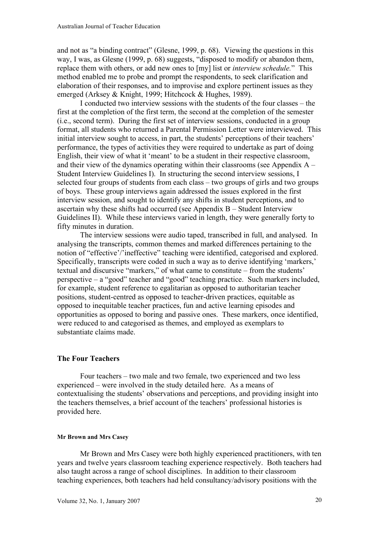and not as "a binding contract" (Glesne, 1999, p. 68). Viewing the questions in this way, I was, as Glesne (1999, p. 68) suggests, "disposed to modify or abandon them, replace them with others, or add new ones to [my] list or *interview schedule.*" This method enabled me to probe and prompt the respondents, to seek clarification and elaboration of their responses, and to improvise and explore pertinent issues as they emerged (Arksey & Knight, 1999; Hitchcock & Hughes, 1989).

I conducted two interview sessions with the students of the four classes – the first at the completion of the first term, the second at the completion of the semester (i.e., second term). During the first set of interview sessions, conducted in a group format, all students who returned a Parental Permission Letter were interviewed. This initial interview sought to access, in part, the students' perceptions of their teachers' performance, the types of activities they were required to undertake as part of doing English, their view of what it 'meant' to be a student in their respective classroom, and their view of the dynamics operating within their classrooms (see Appendix A – Student Interview Guidelines I). In structuring the second interview sessions, I selected four groups of students from each class – two groups of girls and two groups of boys. These group interviews again addressed the issues explored in the first interview session, and sought to identify any shifts in student perceptions, and to ascertain why these shifts had occurred (see Appendix B – Student Interview Guidelines II). While these interviews varied in length, they were generally forty to fifty minutes in duration.

The interview sessions were audio taped, transcribed in full, and analysed. In analysing the transcripts, common themes and marked differences pertaining to the notion of "effective'/'ineffective" teaching were identified, categorised and explored. Specifically, transcripts were coded in such a way as to derive identifying 'markers,' textual and discursive "markers," of what came to constitute – from the students' perspective – a "good" teacher and "good" teaching practice. Such markers included, for example, student reference to egalitarian as opposed to authoritarian teacher positions, student-centred as opposed to teacher-driven practices, equitable as opposed to inequitable teacher practices, fun and active learning episodes and opportunities as opposed to boring and passive ones. These markers, once identified, were reduced to and categorised as themes, and employed as exemplars to substantiate claims made.

## **The Four Teachers**

Four teachers – two male and two female, two experienced and two less experienced – were involved in the study detailed here. As a means of contextualising the students' observations and perceptions, and providing insight into the teachers themselves, a brief account of the teachers' professional histories is provided here.

#### **Mr Brown and Mrs Casey**

Mr Brown and Mrs Casey were both highly experienced practitioners, with ten years and twelve years classroom teaching experience respectively. Both teachers had also taught across a range of school disciplines. In addition to their classroom teaching experiences, both teachers had held consultancy/advisory positions with the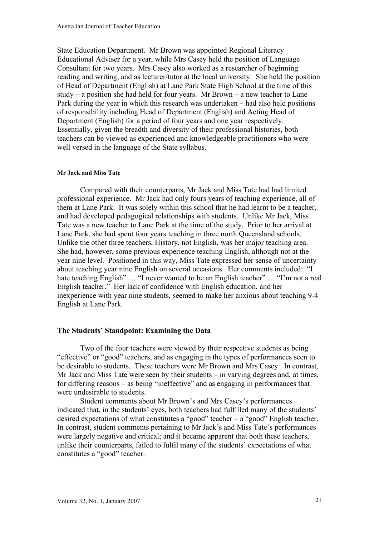State Education Department. Mr Brown was appointed Regional Literacy Educational Adviser for a year, while Mrs Casey held the position of Language Consultant for two years. Mrs Casey also worked as a researcher of beginning reading and writing, and as lecturer/tutor at the local university. She held the position of Head of Department (English) at Lane Park State High School at the time of this study – a position she had held for four years. Mr Brown – a new teacher to Lane Park during the year in which this research was undertaken – had also held positions of responsibility including Head of Department (English) and Acting Head of Department (English) for a period of four years and one year respectively. Essentially, given the breadth and diversity of their professional histories, both teachers can be viewed as experienced and knowledgeable practitioners who were well versed in the language of the State syllabus.

#### **Mr Jack and Miss Tate**

Compared with their counterparts, Mr Jack and Miss Tate had had limited professional experience. Mr Jack had only fours years of teaching experience, all of them at Lane Park. It was solely within this school that he had learnt to be a teacher, and had developed pedagogical relationships with students. Unlike Mr Jack, Miss Tate was a new teacher to Lane Park at the time of the study. Prior to her arrival at Lane Park, she had spent four years teaching in three north Queensland schools. Unlike the other three teachers, History, not English, was her major teaching area. She had, however, some previous experience teaching English, although not at the year nine level. Positioned in this way, Miss Tate expressed her sense of uncertainty about teaching year nine English on several occasions. Her comments included: "I hate teaching English" ... "I never wanted to be an English teacher" ... "I'm not a real English teacher." Her lack of confidence with English education, and her inexperience with year nine students, seemed to make her anxious about teaching 9-4 English at Lane Park.

#### **The Students' Standpoint: Examining the Data**

Two of the four teachers were viewed by their respective students as being "effective" or "good" teachers, and as engaging in the types of performances seen to be desirable to students. These teachers were Mr Brown and Mrs Casey. In contrast, Mr Jack and Miss Tate were seen by their students – in varying degrees and, at times, for differing reasons – as being "ineffective" and as engaging in performances that were undesirable to students.

Student comments about Mr Brown's and Mrs Casey's performances indicated that, in the students' eyes, both teachers had fulfilled many of the students' desired expectations of what constitutes a "good" teacher – a "good" English teacher. In contrast, student comments pertaining to Mr Jack's and Miss Tate's performances were largely negative and critical; and it became apparent that both these teachers, unlike their counterparts, failed to fulfil many of the students' expectations of what constitutes a "good" teacher.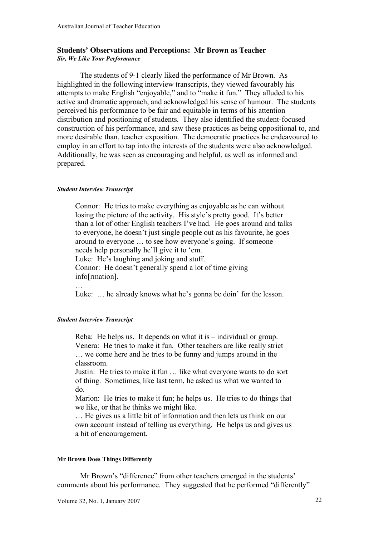## **Students' Observations and Perceptions: Mr Brown as Teacher** *Sir, We Like Your Performance*

The students of 9-1 clearly liked the performance of Mr Brown. As highlighted in the following interview transcripts, they viewed favourably his attempts to make English "enjoyable," and to "make it fun." They alluded to his active and dramatic approach, and acknowledged his sense of humour. The students perceived his performance to be fair and equitable in terms of his attention distribution and positioning of students. They also identified the student-focused construction of his performance, and saw these practices as being oppositional to, and more desirable than, teacher exposition. The democratic practices he endeavoured to employ in an effort to tap into the interests of the students were also acknowledged. Additionally, he was seen as encouraging and helpful, as well as informed and prepared.

### *Student Interview Transcript*

Connor: He tries to make everything as enjoyable as he can without losing the picture of the activity. His style's pretty good. It's better than a lot of other English teachers I've had. He goes around and talks to everyone, he doesn't just single people out as his favourite, he goes around to everyone … to see how everyone's going. If someone needs help personally he'll give it to 'em. Luke: He's laughing and joking and stuff. Connor: He doesn't generally spend a lot of time giving info[rmation]. …

Luke: … he already knows what he's gonna be doin' for the lesson.

## *Student Interview Transcript*

Reba: He helps us. It depends on what it is – individual or group. Venera: He tries to make it fun. Other teachers are like really strict … we come here and he tries to be funny and jumps around in the classroom.

Justin: He tries to make it fun … like what everyone wants to do sort of thing. Sometimes, like last term, he asked us what we wanted to do.

Marion: He tries to make it fun; he helps us. He tries to do things that we like, or that he thinks we might like.

… He gives us a little bit of information and then lets us think on our own account instead of telling us everything. He helps us and gives us a bit of encouragement.

#### **Mr Brown Does Things Differently**

Mr Brown's "difference" from other teachers emerged in the students' comments about his performance. They suggested that he performed "differently"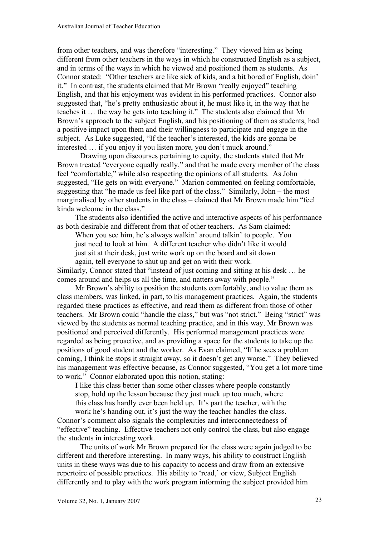from other teachers, and was therefore "interesting." They viewed him as being different from other teachers in the ways in which he constructed English as a subject, and in terms of the ways in which he viewed and positioned them as students. As Connor stated: "Other teachers are like sick of kids, and a bit bored of English, doin' it." In contrast, the students claimed that Mr Brown "really enjoyed" teaching English, and that his enjoyment was evident in his performed practices. Connor also suggested that, "he's pretty enthusiastic about it, he must like it, in the way that he teaches it … the way he gets into teaching it." The students also claimed that Mr Brown's approach to the subject English, and his positioning of them as students, had a positive impact upon them and their willingness to participate and engage in the subject. As Luke suggested, "If the teacher's interested, the kids are gonna be interested … if you enjoy it you listen more, you don't muck around."

Drawing upon discourses pertaining to equity, the students stated that Mr Brown treated "everyone equally really," and that he made every member of the class feel "comfortable," while also respecting the opinions of all students. As John suggested, "He gets on with everyone." Marion commented on feeling comfortable, suggesting that "he made us feel like part of the class." Similarly, John – the most marginalised by other students in the class – claimed that Mr Brown made him "feel kinda welcome in the class."

The students also identified the active and interactive aspects of his performance as both desirable and different from that of other teachers. As Sam claimed:

When you see him, he's always walkin' around talkin' to people. You just need to look at him. A different teacher who didn't like it would just sit at their desk, just write work up on the board and sit down again, tell everyone to shut up and get on with their work.

Similarly, Connor stated that "instead of just coming and sitting at his desk … he comes around and helps us all the time, and natters away with people."

Mr Brown's ability to position the students comfortably, and to value them as class members, was linked, in part, to his management practices. Again, the students regarded these practices as effective, and read them as different from those of other teachers. Mr Brown could "handle the class," but was "not strict." Being "strict" was viewed by the students as normal teaching practice, and in this way, Mr Brown was positioned and perceived differently. His performed management practices were regarded as being proactive, and as providing a space for the students to take up the positions of good student and the worker. As Evan claimed, "If he sees a problem coming, I think he stops it straight away, so it doesn't get any worse." They believed his management was effective because, as Connor suggested, "You get a lot more time to work." Connor elaborated upon this notion, stating:

I like this class better than some other classes where people constantly stop, hold up the lesson because they just muck up too much, where this class has hardly ever been held up. It's part the teacher, with the work he's handing out, it's just the way the teacher handles the class.

Connor's comment also signals the complexities and interconnectedness of "effective" teaching. Effective teachers not only control the class, but also engage the students in interesting work.

The units of work Mr Brown prepared for the class were again judged to be different and therefore interesting. In many ways, his ability to construct English units in these ways was due to his capacity to access and draw from an extensive repertoire of possible practices. His ability to 'read,' or view, Subject English differently and to play with the work program informing the subject provided him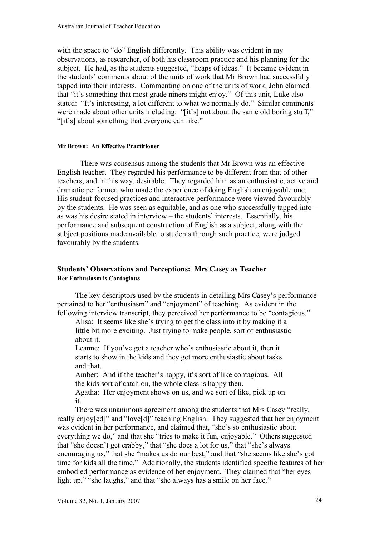with the space to "do" English differently. This ability was evident in my observations, as researcher, of both his classroom practice and his planning for the subject. He had, as the students suggested, "heaps of ideas." It became evident in the students' comments about of the units of work that Mr Brown had successfully tapped into their interests. Commenting on one of the units of work, John claimed that "it's something that most grade niners might enjoy." Of this unit, Luke also stated: "It's interesting, a lot different to what we normally do." Similar comments were made about other units including: "[it's] not about the same old boring stuff," "[it's] about something that everyone can like."

## **Mr Brown: An Effective Practitioner**

There was consensus among the students that Mr Brown was an effective English teacher. They regarded his performance to be different from that of other teachers, and in this way, desirable. They regarded him as an enthusiastic, active and dramatic performer, who made the experience of doing English an enjoyable one. His student-focused practices and interactive performance were viewed favourably by the students. He was seen as equitable, and as one who successfully tapped into – as was his desire stated in interview – the students' interests. Essentially, his performance and subsequent construction of English as a subject, along with the subject positions made available to students through such practice, were judged favourably by the students.

## **Students' Observations and Perceptions: Mrs Casey as Teacher Her Enthusiasm is Contagiou***s*

The key descriptors used by the students in detailing Mrs Casey's performance pertained to her "enthusiasm" and "enjoyment" of teaching. As evident in the following interview transcript, they perceived her performance to be "contagious."

Alisa: It seems like she's trying to get the class into it by making it a little bit more exciting. Just trying to make people, sort of enthusiastic about it.

Leanne: If you've got a teacher who's enthusiastic about it, then it starts to show in the kids and they get more enthusiastic about tasks and that.

Amber: And if the teacher's happy, it's sort of like contagious. All the kids sort of catch on, the whole class is happy then.

Agatha: Her enjoyment shows on us, and we sort of like, pick up on it.

There was unanimous agreement among the students that Mrs Casey "really, really enjoy[ed]" and "love[d]" teaching English. They suggested that her enjoyment was evident in her performance, and claimed that, "she's so enthusiastic about everything we do," and that she "tries to make it fun, enjoyable." Others suggested that "she doesn't get crabby," that "she does a lot for us," that "she's always encouraging us," that she "makes us do our best," and that "she seems like she's got time for kids all the time." Additionally, the students identified specific features of her embodied performance as evidence of her enjoyment. They claimed that "her eyes light up," "she laughs," and that "she always has a smile on her face."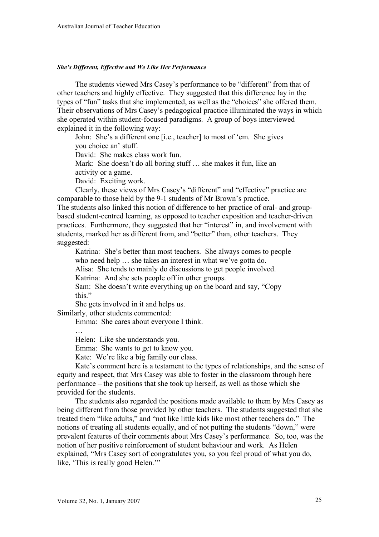#### *She's Different, Effective and We Like Her Performance*

The students viewed Mrs Casey's performance to be "different" from that of other teachers and highly effective. They suggested that this difference lay in the types of "fun" tasks that she implemented, as well as the "choices" she offered them. Their observations of Mrs Casey's pedagogical practice illuminated the ways in which she operated within student-focused paradigms. A group of boys interviewed explained it in the following way:

John: She's a different one [i.e., teacher] to most of 'em. She gives you choice an' stuff.

David: She makes class work fun.

Mark: She doesn't do all boring stuff ... she makes it fun, like an activity or a game.

David: Exciting work.

Clearly, these views of Mrs Casey's "different" and "effective" practice are comparable to those held by the 9-1 students of Mr Brown's practice.

The students also linked this notion of difference to her practice of oral- and groupbased student-centred learning, as opposed to teacher exposition and teacher-driven practices. Furthermore, they suggested that her "interest" in, and involvement with students, marked her as different from, and "better" than, other teachers. They suggested:

Katrina: She's better than most teachers. She always comes to people who need help … she takes an interest in what we've gotta do. Alisa: She tends to mainly do discussions to get people involved.

Katrina: And she sets people off in other groups.

Sam: She doesn't write everything up on the board and say, "Copy this."

She gets involved in it and helps us.

Similarly, other students commented:

…

Emma: She cares about everyone I think.

Helen: Like she understands you.

Emma: She wants to get to know you.

Kate: We're like a big family our class.

Kate's comment here is a testament to the types of relationships, and the sense of equity and respect, that Mrs Casey was able to foster in the classroom through here performance – the positions that she took up herself, as well as those which she provided for the students.

The students also regarded the positions made available to them by Mrs Casey as being different from those provided by other teachers. The students suggested that she treated them "like adults," and "not like little kids like most other teachers do." The notions of treating all students equally, and of not putting the students "down," were prevalent features of their comments about Mrs Casey's performance. So, too, was the notion of her positive reinforcement of student behaviour and work. As Helen explained, "Mrs Casey sort of congratulates you, so you feel proud of what you do, like, 'This is really good Helen.'"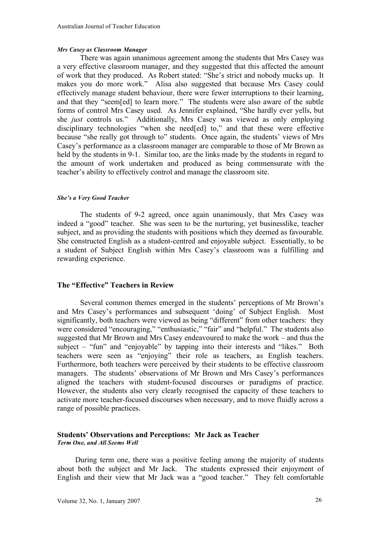#### *Mrs Casey as Classroom Manager*

There was again unanimous agreement among the students that Mrs Casey was a very effective classroom manager, and they suggested that this affected the amount of work that they produced. As Robert stated: "She's strict and nobody mucks up. It makes you do more work." Alisa also suggested that because Mrs Casey could effectively manage student behaviour, there were fewer interruptions to their learning, and that they "seem[ed] to learn more." The students were also aware of the subtle forms of control Mrs Casey used. As Jennifer explained, "She hardly ever yells, but she *just* controls us." Additionally, Mrs Casey was viewed as only employing disciplinary technologies "when she need[ed] to," and that these were effective because "she really got through to" students. Once again, the students' views of Mrs Casey's performance as a classroom manager are comparable to those of Mr Brown as held by the students in 9-1. Similar too, are the links made by the students in regard to the amount of work undertaken and produced as being commensurate with the teacher's ability to effectively control and manage the classroom site.

#### *She's a Very Good Teacher*

The students of 9-2 agreed, once again unanimously, that Mrs Casey was indeed a "good" teacher. She was seen to be the nurturing, yet businesslike, teacher subject, and as providing the students with positions which they deemed as favourable. She constructed English as a student-centred and enjoyable subject. Essentially, to be a student of Subject English within Mrs Casey's classroom was a fulfilling and rewarding experience.

## **The "Effective" Teachers in Review**

Several common themes emerged in the students' perceptions of Mr Brown's and Mrs Casey's performances and subsequent 'doing' of Subject English. Most significantly, both teachers were viewed as being "different" from other teachers: they were considered "encouraging," "enthusiastic," "fair" and "helpful." The students also suggested that Mr Brown and Mrs Casey endeavoured to make the work – and thus the subject – "fun" and "enjoyable" by tapping into their interests and "likes." Both teachers were seen as "enjoying" their role as teachers, as English teachers. Furthermore, both teachers were perceived by their students to be effective classroom managers. The students' observations of Mr Brown and Mrs Casey's performances aligned the teachers with student-focused discourses or paradigms of practice. However, the students also very clearly recognised the capacity of these teachers to activate more teacher-focused discourses when necessary, and to move fluidly across a range of possible practices.

#### **Students' Observations and Perceptions: Mr Jack as Teacher** *Term One, and All Seems Well*

During term one, there was a positive feeling among the majority of students about both the subject and Mr Jack. The students expressed their enjoyment of English and their view that Mr Jack was a "good teacher." They felt comfortable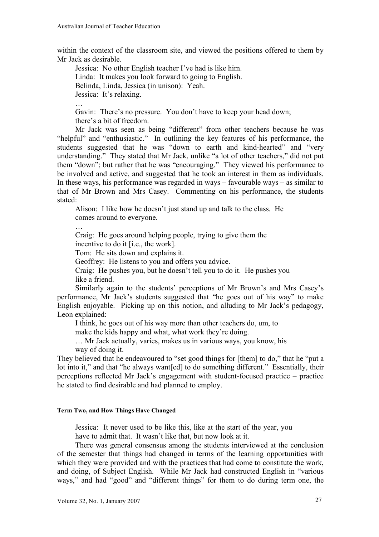within the context of the classroom site, and viewed the positions offered to them by Mr Jack as desirable.

Jessica: No other English teacher I've had is like him. Linda: It makes you look forward to going to English. Belinda, Linda, Jessica (in unison): Yeah. Jessica: It's relaxing. …

Gavin: There's no pressure. You don't have to keep your head down; there's a bit of freedom.

Mr Jack was seen as being "different" from other teachers because he was "helpful" and "enthusiastic." In outlining the key features of his performance, the students suggested that he was "down to earth and kind-hearted" and "very" understanding." They stated that Mr Jack, unlike "a lot of other teachers," did not put them "down"; but rather that he was "encouraging." They viewed his performance to be involved and active, and suggested that he took an interest in them as individuals. In these ways, his performance was regarded in ways  $-$  favourable ways  $-$  as similar to that of Mr Brown and Mrs Casey. Commenting on his performance, the students stated:

Alison: I like how he doesn't just stand up and talk to the class. He comes around to everyone.

Craig: He goes around helping people, trying to give them the

incentive to do it [i.e., the work].

…

Tom: He sits down and explains it.

Geoffrey: He listens to you and offers you advice.

Craig: He pushes you, but he doesn't tell you to do it. He pushes you like a friend.

Similarly again to the students' perceptions of Mr Brown's and Mrs Casey's performance, Mr Jack's students suggested that "he goes out of his way" to make English enjoyable. Picking up on this notion, and alluding to Mr Jack's pedagogy, Leon explained:

I think, he goes out of his way more than other teachers do, um, to

make the kids happy and what, what work they're doing.

… Mr Jack actually, varies, makes us in various ways, you know, his way of doing it.

They believed that he endeavoured to "set good things for [them] to do," that he "put a lot into it," and that "he always want [ed] to do something different." Essentially, their perceptions reflected Mr Jack's engagement with student-focused practice – practice he stated to find desirable and had planned to employ.

### **Term Two, and How Things Have Changed**

Jessica: It never used to be like this, like at the start of the year, you

have to admit that. It wasn't like that, but now look at it.

There was general consensus among the students interviewed at the conclusion of the semester that things had changed in terms of the learning opportunities with which they were provided and with the practices that had come to constitute the work, and doing, of Subject English. While Mr Jack had constructed English in "various ways," and had "good" and "different things" for them to do during term one, the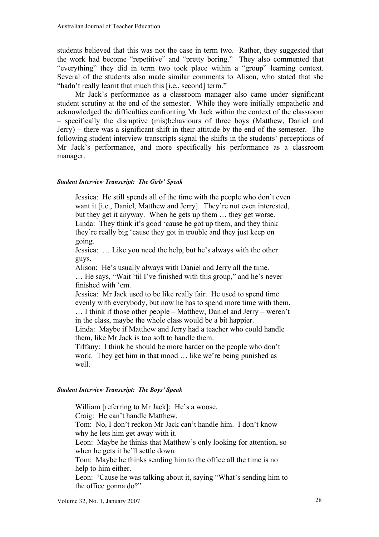students believed that this was not the case in term two. Rather, they suggested that the work had become "repetitive" and "pretty boring." They also commented that "everything" they did in term two took place within a "group" learning context. Several of the students also made similar comments to Alison, who stated that she "hadn't really learnt that much this [i.e., second] term."

Mr Jack's performance as a classroom manager also came under significant student scrutiny at the end of the semester. While they were initially empathetic and acknowledged the difficulties confronting Mr Jack within the context of the classroom – specifically the disruptive (mis)behaviours of three boys (Matthew, Daniel and Jerry) – there was a significant shift in their attitude by the end of the semester. The following student interview transcripts signal the shifts in the students' perceptions of Mr Jack's performance, and more specifically his performance as a classroom manager.

#### *Student Interview Transcript: The Girls' Speak*

Jessica: He still spends all of the time with the people who don't even want it [i.e., Daniel, Matthew and Jerry]. They're not even interested, but they get it anyway. When he gets up them … they get worse. Linda: They think it's good 'cause he got up them, and they think they're really big 'cause they got in trouble and they just keep on going.

Jessica: … Like you need the help, but he's always with the other guys.

Alison: He's usually always with Daniel and Jerry all the time. … He says, "Wait 'til I've finished with this group," and he's never finished with 'em.

Jessica: Mr Jack used to be like really fair. He used to spend time evenly with everybody, but now he has to spend more time with them.

… I think if those other people – Matthew, Daniel and Jerry – weren't in the class, maybe the whole class would be a bit happier.

Linda: Maybe if Matthew and Jerry had a teacher who could handle them, like Mr Jack is too soft to handle them.

Tiffany: I think he should be more harder on the people who don't work. They get him in that mood … like we're being punished as well.

#### *Student Interview Transcript: The Boys' Speak*

William [referring to Mr Jack]: He's a woose. Craig: He can't handle Matthew. Tom: No, I don't reckon Mr Jack can't handle him. I don't know why he lets him get away with it. Leon: Maybe he thinks that Matthew's only looking for attention, so when he gets it he'll settle down. Tom: Maybe he thinks sending him to the office all the time is no help to him either. Leon: 'Cause he was talking about it, saying "What's sending him to the office gonna do?"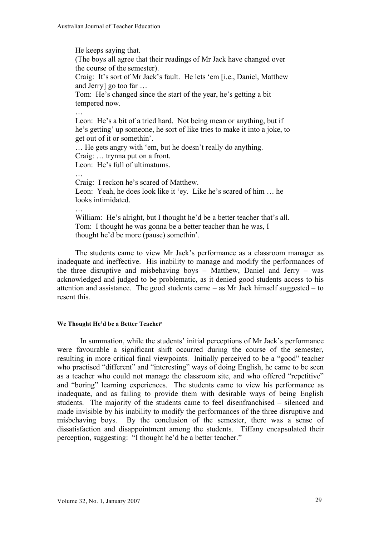He keeps saying that. (The boys all agree that their readings of Mr Jack have changed over the course of the semester). Craig: It's sort of Mr Jack's fault. He lets 'em [i.e., Daniel, Matthew and Jerry] go too far … Tom: He's changed since the start of the year, he's getting a bit tempered now. … Leon: He's a bit of a tried hard. Not being mean or anything, but if he's getting' up someone, he sort of like tries to make it into a joke, to get out of it or somethin'. … He gets angry with 'em, but he doesn't really do anything. Craig: … trynna put on a front. Leon: He's full of ultimatums. Craig: I reckon he's scared of Matthew. Leon: Yeah, he does look like it 'ey. Like he's scared of him … he looks intimidated. … William: He's alright, but I thought he'd be a better teacher that's all. Tom: I thought he was gonna be a better teacher than he was, I

thought he'd be more (pause) somethin'.

The students came to view Mr Jack's performance as a classroom manager as inadequate and ineffective. His inability to manage and modify the performances of the three disruptive and misbehaving boys – Matthew, Daniel and Jerry – was acknowledged and judged to be problematic, as it denied good students access to his attention and assistance. The good students came – as Mr Jack himself suggested – to resent this.

#### **We Thought He'd be a Better Teache***r*

In summation, while the students' initial perceptions of Mr Jack's performance were favourable a significant shift occurred during the course of the semester, resulting in more critical final viewpoints. Initially perceived to be a "good" teacher who practised "different" and "interesting" ways of doing English, he came to be seen as a teacher who could not manage the classroom site, and who offered "repetitive" and "boring" learning experiences. The students came to view his performance as inadequate, and as failing to provide them with desirable ways of being English students. The majority of the students came to feel disenfranchised – silenced and made invisible by his inability to modify the performances of the three disruptive and misbehaving boys. By the conclusion of the semester, there was a sense of dissatisfaction and disappointment among the students. Tiffany encapsulated their perception, suggesting: "I thought he'd be a better teacher."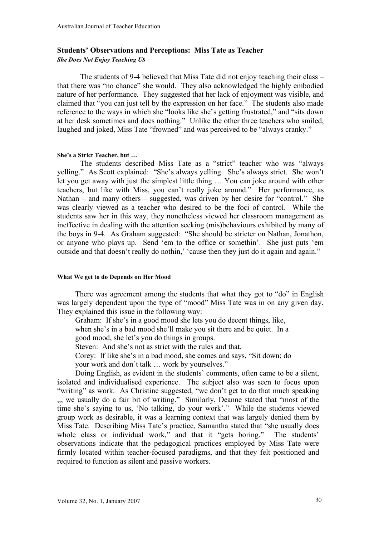## **Students' Observations and Perceptions: Miss Tate as Teacher** *She Does Not Enjoy Teaching Us*

The students of 9-4 believed that Miss Tate did not enjoy teaching their class – that there was "no chance" she would. They also acknowledged the highly embodied nature of her performance. They suggested that her lack of enjoyment was visible, and claimed that "you can just tell by the expression on her face." The students also made reference to the ways in which she "looks like she's getting frustrated," and "sits down at her desk sometimes and does nothing." Unlike the other three teachers who smiled, laughed and joked, Miss Tate "frowned" and was perceived to be "always cranky."

#### **She's a Strict Teacher, but …**

The students described Miss Tate as a "strict" teacher who was "always yelling." As Scott explained: "She's always yelling. She's always strict. She won't let you get away with just the simplest little thing … You can joke around with other teachers, but like with Miss, you can't really joke around." Her performance, as Nathan – and many others – suggested, was driven by her desire for "control." She was clearly viewed as a teacher who desired to be the foci of control. While the students saw her in this way, they nonetheless viewed her classroom management as ineffective in dealing with the attention seeking (mis)behaviours exhibited by many of the boys in 9-4. As Graham suggested: "She should be stricter on Nathan, Jonathon, or anyone who plays up. Send 'em to the office or somethin'. She just puts 'em outside and that doesn't really do nothin,' 'cause then they just do it again and again."

#### **What We get to do Depends on Her Mood**

There was agreement among the students that what they got to "do" in English was largely dependent upon the type of "mood" Miss Tate was in on any given day. They explained this issue in the following way:

Graham: If she's in a good mood she lets you do decent things, like,

when she's in a bad mood she'll make you sit there and be quiet. In a good mood, she let's you do things in groups.

Steven: And she's not as strict with the rules and that.

Corey: If like she's in a bad mood, she comes and says, "Sit down; do

your work and don't talk … work by yourselves."

Doing English, as evident in the students' comments, often came to be a silent, isolated and individualised experience. The subject also was seen to focus upon "writing" as work. As Christine suggested, "we don't get to do that much speaking ,,, we usually do a fair bit of writing." Similarly, Deanne stated that "most of the time she's saying to us, 'No talking, do your work'." While the students viewed group work as desirable, it was a learning context that was largely denied them by Miss Tate. Describing Miss Tate's practice, Samantha stated that "she usually does whole class or individual work," and that it "gets boring." The students' observations indicate that the pedagogical practices employed by Miss Tate were firmly located within teacher-focused paradigms, and that they felt positioned and required to function as silent and passive workers.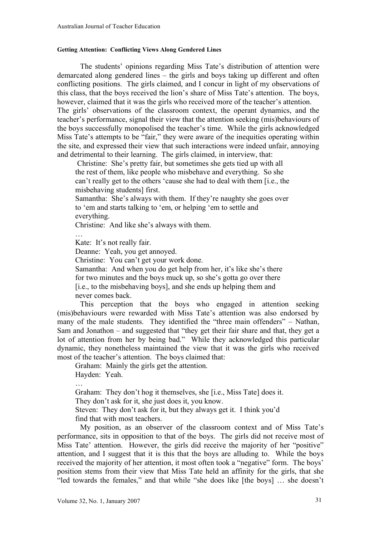#### **Getting Attention: Conflicting Views Along Gendered Lines**

The students' opinions regarding Miss Tate's distribution of attention were demarcated along gendered lines – the girls and boys taking up different and often conflicting positions. The girls claimed, and I concur in light of my observations of this class, that the boys received the lion's share of Miss Tate's attention. The boys, however, claimed that it was the girls who received more of the teacher's attention. The girls' observations of the classroom context, the operant dynamics, and the teacher's performance, signal their view that the attention seeking (mis)behaviours of the boys successfully monopolised the teacher's time. While the girls acknowledged Miss Tate's attempts to be "fair," they were aware of the inequities operating within the site, and expressed their view that such interactions were indeed unfair, annoying and detrimental to their learning. The girls claimed, in interview, that:

Christine: She's pretty fair, but sometimes she gets tied up with all the rest of them, like people who misbehave and everything. So she can't really get to the others 'cause she had to deal with them [i.e., the misbehaving students] first.

Samantha: She's always with them. If they're naughty she goes over to 'em and starts talking to 'em, or helping 'em to settle and everything.

Christine: And like she's always with them.

Kate: It's not really fair.

…

Deanne: Yeah, you get annoyed.

Christine: You can't get your work done.

Samantha: And when you do get help from her, it's like she's there for two minutes and the boys muck up, so she's gotta go over there [i.e., to the misbehaving boys], and she ends up helping them and never comes back.

This perception that the boys who engaged in attention seeking (mis)behaviours were rewarded with Miss Tate's attention was also endorsed by many of the male students. They identified the "three main offenders" – Nathan, Sam and Jonathon – and suggested that "they get their fair share and that, they get a lot of attention from her by being bad." While they acknowledged this particular dynamic, they nonetheless maintained the view that it was the girls who received most of the teacher's attention. The boys claimed that:

Graham: Mainly the girls get the attention.

Hayden: Yeah.

…

Graham: They don't hog it themselves, she [i.e., Miss Tate] does it.

They don't ask for it, she just does it, you know.

Steven: They don't ask for it, but they always get it. I think you'd find that with most teachers.

My position, as an observer of the classroom context and of Miss Tate's performance, sits in opposition to that of the boys. The girls did not receive most of Miss Tate' attention. However, the girls did receive the majority of her "positive" attention, and I suggest that it is this that the boys are alluding to. While the boys received the majority of her attention, it most often took a "negative" form. The boys' position stems from their view that Miss Tate held an affinity for the girls, that she "led towards the females," and that while "she does like [the boys] … she doesn't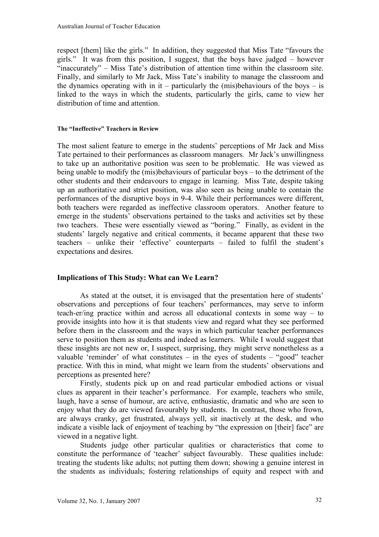respect [them] like the girls." In addition, they suggested that Miss Tate "favours the girls." It was from this position, I suggest, that the boys have judged – however "inaccurately" – Miss Tate's distribution of attention time within the classroom site. Finally, and similarly to Mr Jack, Miss Tate's inability to manage the classroom and the dynamics operating with in it – particularly the (mis)behaviours of the boys – is linked to the ways in which the students, particularly the girls, came to view her distribution of time and attention.

#### **The "Ineffective" Teachers in Review**

The most salient feature to emerge in the students' perceptions of Mr Jack and Miss Tate pertained to their performances as classroom managers. Mr Jack's unwillingness to take up an authoritative position was seen to be problematic. He was viewed as being unable to modify the (mis)behaviours of particular boys – to the detriment of the other students and their endeavours to engage in learning. Miss Tate, despite taking up an authoritative and strict position, was also seen as being unable to contain the performances of the disruptive boys in 9-4. While their performances were different, both teachers were regarded as ineffective classroom operators. Another feature to emerge in the students' observations pertained to the tasks and activities set by these two teachers. These were essentially viewed as "boring." Finally, as evident in the students' largely negative and critical comments, it became apparent that these two teachers – unlike their 'effective' counterparts – failed to fulfil the student's expectations and desires.

## **Implications of This Study: What can We Learn?**

As stated at the outset, it is envisaged that the presentation here of students' observations and perceptions of four teachers' performances, may serve to inform teach-er/ing practice within and across all educational contexts in some way – to provide insights into how it is that students view and regard what they see performed before them in the classroom and the ways in which particular teacher performances serve to position them as students and indeed as learners. While I would suggest that these insights are not new or, I suspect, surprising, they might serve nonetheless as a valuable 'reminder' of what constitutes – in the eyes of students – "good" teacher practice. With this in mind, what might we learn from the students' observations and perceptions as presented here?

Firstly, students pick up on and read particular embodied actions or visual clues as apparent in their teacher's performance. For example, teachers who smile, laugh, have a sense of humour, are active, enthusiastic, dramatic and who are seen to enjoy what they do are viewed favourably by students. In contrast, those who frown, are always cranky, get frustrated, always yell, sit inactively at the desk, and who indicate a visible lack of enjoyment of teaching by "the expression on [their] face" are viewed in a negative light.

Students judge other particular qualities or characteristics that come to constitute the performance of 'teacher' subject favourably. These qualities include: treating the students like adults; not putting them down; showing a genuine interest in the students as individuals; fostering relationships of equity and respect with and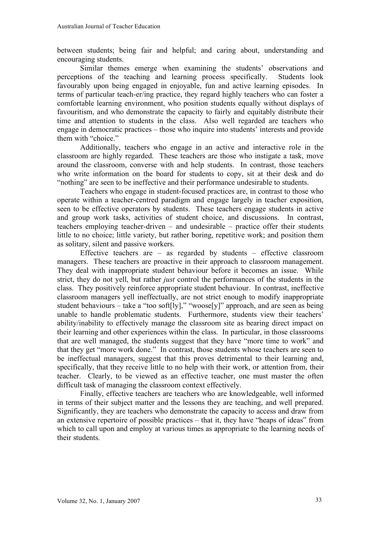between students; being fair and helpful; and caring about, understanding and encouraging students.

Similar themes emerge when examining the students' observations and perceptions of the teaching and learning process specifically. Students look favourably upon being engaged in enjoyable, fun and active learning episodes. In terms of particular teach-er/ing practice, they regard highly teachers who can foster a comfortable learning environment, who position students equally without displays of favouritism, and who demonstrate the capacity to fairly and equitably distribute their time and attention to students in the class. Also well regarded are teachers who engage in democratic practices – those who inquire into students' interests and provide them with "choice."

Additionally, teachers who engage in an active and interactive role in the classroom are highly regarded. These teachers are those who instigate a task, move around the classroom, converse with and help students. In contrast, those teachers who write information on the board for students to copy, sit at their desk and do "nothing" are seen to be ineffective and their performance undesirable to students.

Teachers who engage in student-focused practices are, in contrast to those who operate within a teacher-centred paradigm and engage largely in teacher exposition, seen to be effective operators by students. These teachers engage students in active and group work tasks, activities of student choice, and discussions. In contrast, teachers employing teacher-driven – and undesirable – practice offer their students little to no choice; little variety, but rather boring, repetitive work; and position them as solitary, silent and passive workers.

Effective teachers are  $-$  as regarded by students  $-$  effective classroom managers. These teachers are proactive in their approach to classroom management. They deal with inappropriate student behaviour before it becomes an issue. While strict, they do not yell, but rather *just* control the performances of the students in the class. They positively reinforce appropriate student behaviour. In contrast, ineffective classroom managers yell ineffectually, are not strict enough to modify inappropriate student behaviours – take a "too soft[ly]," "woose[y]" approach, and are seen as being unable to handle problematic students. Furthermore, students view their teachers' ability/inability to effectively manage the classroom site as bearing direct impact on their learning and other experiences within the class. In particular, in those classrooms that are well managed, the students suggest that they have "more time to work" and that they get "more work done." In contrast, those students whose teachers are seen to be ineffectual managers, suggest that this proves detrimental to their learning and, specifically, that they receive little to no help with their work, or attention from, their teacher. Clearly, to be viewed as an effective teacher, one must master the often difficult task of managing the classroom context effectively.

Finally, effective teachers are teachers who are knowledgeable, well informed in terms of their subject matter and the lessons they are teaching, and well prepared. Significantly, they are teachers who demonstrate the capacity to access and draw from an extensive repertoire of possible practices – that it, they have "heaps of ideas" from which to call upon and employ at various times as appropriate to the learning needs of their students.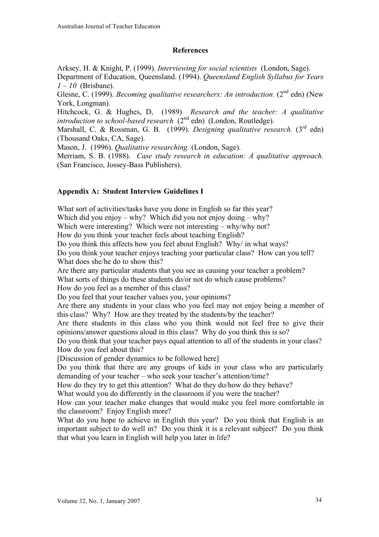## **References**

Arksey, H. & Knight, P. (1999). *Interviewing for social scientists* (London, Sage).

Department of Education, Queensland. (1994). *Queensland English Syllabus for Years 1 – 10* (Brisbane).

Glesne, C. (1999). *Becoming qualitative researchers: An introduction.* (2nd edn) (New York, Longman).

Hitchcock, G. & Hughes, D, (1989) *Research and the teacher: A qualitative introduction to school-based research* (2<sup>nd</sup> edn) (London, Routledge).

Marshall, C. & Rossman, G. B. (1999). *Designing qualitative research.* (3rd edn) (Thousand Oaks, CA, Sage).

Mason, J. (1996). *Qualitative researching.* (London, Sage).

Merriam, S. B. (1988). *Case study research in education: A qualitative approach.* (San Francisco, Jossey-Bass Publishers).

# **Appendix A: Student Interview Guidelines I**

What sort of activities/tasks have you done in English so far this year?

Which did you enjoy – why? Which did you not enjoy doing – why?

Which were interesting? Which were not interesting – why/why not?

How do you think your teacher feels about teaching English?

Do you think this affects how you feel about English? Why/ in what ways?

Do you think your teacher enjoys teaching your particular class? How can you tell? What does she/he do to show this?

Are there any particular students that you see as causing your teacher a problem?

What sorts of things do these students do/or not do which cause problems?

How do you feel as a member of this class?

Do you feel that your teacher values you, your opinions?

Are there any students in your class who you feel may not enjoy being a member of this class? Why? How are they treated by the students/by the teacher?

Are there students in this class who you think would not feel free to give their opinions/answer questions aloud in this class? Why do you think this is so?

Do you think that your teacher pays equal attention to all of the students in your class? How do you feel about this?

[Discussion of gender dynamics to be followed here]

Do you think that there are any groups of kids in your class who are particularly demanding of your teacher – who seek your teacher's attention/time?

How do they try to get this attention? What do they do/how do they behave?

What would you do differently in the classroom if you were the teacher?

How can your teacher make changes that would make you feel more comfortable in the classroom? Enjoy English more?

What do you hope to achieve in English this year? Do you think that English is an important subject to do well in? Do you think it is a relevant subject? Do you think that what you learn in English will help you later in life?